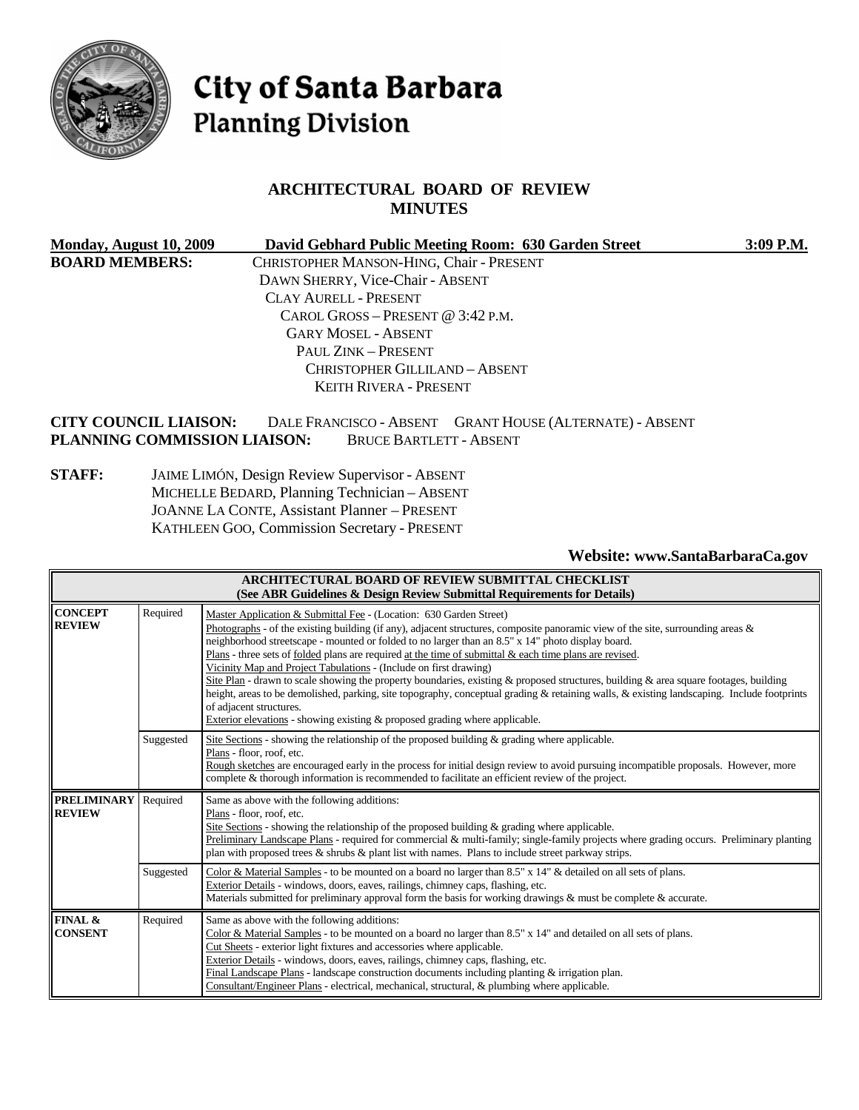

# City of Santa Barbara **Planning Division**

## **ARCHITECTURAL BOARD OF REVIEW MINUTES**

| Monday, August 10, 2009             |                                          | David Gebhard Public Meeting Room: 630 Garden Street     | 3:09 P.M. |
|-------------------------------------|------------------------------------------|----------------------------------------------------------|-----------|
| <b>BOARD MEMBERS:</b>               | CHRISTOPHER MANSON-HING, Chair - PRESENT |                                                          |           |
|                                     | DAWN SHERRY, Vice-Chair - ABSENT         |                                                          |           |
|                                     | <b>CLAY AURELL - PRESENT</b>             |                                                          |           |
|                                     | CAROL GROSS – PRESENT @ $3:42$ P.M.      |                                                          |           |
| <b>GARY MOSEL - ABSENT</b>          |                                          |                                                          |           |
|                                     | PAUL ZINK - PRESENT                      |                                                          |           |
|                                     | CHRISTOPHER GILLILAND - ABSENT           |                                                          |           |
|                                     | <b>KEITH RIVERA - PRESENT</b>            |                                                          |           |
| <b>CITY COUNCIL LIAISON:</b>        |                                          | DALE FRANCISCO - ABSENT GRANT HOUSE (ALTERNATE) - ABSENT |           |
| <b>PLANNING COMMISSION LIAISON:</b> | <b>BRUCE BARTLETT - ABSENT</b>           |                                                          |           |

**STAFF:** JAIME LIMÓN, Design Review Supervisor - ABSENT MICHELLE BEDARD, Planning Technician – ABSENT JOANNE LA CONTE, Assistant Planner – PRESENT KATHLEEN GOO, Commission Secretary - PRESENT

**Website: [www.SantaBarbaraCa.gov](http://www.santabarbaraca.gov/)** 

| ARCHITECTURAL BOARD OF REVIEW SUBMITTAL CHECKLIST<br>(See ABR Guidelines & Design Review Submittal Requirements for Details) |           |                                                                                                                                                                                                                                                                                                                                                                                                                                                                                                                                                                                                                                                                                                                                                                                                                                                                                                   |
|------------------------------------------------------------------------------------------------------------------------------|-----------|---------------------------------------------------------------------------------------------------------------------------------------------------------------------------------------------------------------------------------------------------------------------------------------------------------------------------------------------------------------------------------------------------------------------------------------------------------------------------------------------------------------------------------------------------------------------------------------------------------------------------------------------------------------------------------------------------------------------------------------------------------------------------------------------------------------------------------------------------------------------------------------------------|
| <b>CONCEPT</b><br><b>REVIEW</b>                                                                                              | Required  | Master Application & Submittal Fee - (Location: 630 Garden Street)<br>Photographs - of the existing building (if any), adjacent structures, composite panoramic view of the site, surrounding areas $\&$<br>neighborhood streetscape - mounted or folded to no larger than an 8.5" x 14" photo display board.<br>Plans - three sets of folded plans are required at the time of submittal $\&$ each time plans are revised.<br>Vicinity Map and Project Tabulations - (Include on first drawing)<br>Site Plan - drawn to scale showing the property boundaries, existing & proposed structures, building & area square footages, building<br>height, areas to be demolished, parking, site topography, conceptual grading & retaining walls, & existing landscaping. Include footprints<br>of adjacent structures.<br>Exterior elevations - showing existing & proposed grading where applicable. |
|                                                                                                                              | Suggested | Site Sections - showing the relationship of the proposed building $\&$ grading where applicable.<br>Plans - floor, roof, etc.<br>Rough sketches are encouraged early in the process for initial design review to avoid pursuing incompatible proposals. However, more<br>complete & thorough information is recommended to facilitate an efficient review of the project.                                                                                                                                                                                                                                                                                                                                                                                                                                                                                                                         |
| <b>PRELIMINARY</b><br>Required<br>Same as above with the following additions:<br><b>REVIEW</b><br>Plans - floor, roof, etc.  |           | Site Sections - showing the relationship of the proposed building $\&$ grading where applicable.<br>Preliminary Landscape Plans - required for commercial & multi-family; single-family projects where grading occurs. Preliminary planting<br>plan with proposed trees $\&$ shrubs $\&$ plant list with names. Plans to include street parkway strips.                                                                                                                                                                                                                                                                                                                                                                                                                                                                                                                                           |
|                                                                                                                              | Suggested | Color & Material Samples - to be mounted on a board no larger than 8.5" x 14" & detailed on all sets of plans.<br>Exterior Details - windows, doors, eaves, railings, chimney caps, flashing, etc.<br>Materials submitted for preliminary approval form the basis for working drawings & must be complete & accurate.                                                                                                                                                                                                                                                                                                                                                                                                                                                                                                                                                                             |
| FINAL &<br><b>CONSENT</b>                                                                                                    | Required  | Same as above with the following additions:<br>Color & Material Samples - to be mounted on a board no larger than 8.5" x 14" and detailed on all sets of plans.<br>Cut Sheets - exterior light fixtures and accessories where applicable.<br>Exterior Details - windows, doors, eaves, railings, chimney caps, flashing, etc.<br>Final Landscape Plans - landscape construction documents including planting $&$ irrigation plan.<br>Consultant/Engineer Plans - electrical, mechanical, structural, & plumbing where applicable.                                                                                                                                                                                                                                                                                                                                                                 |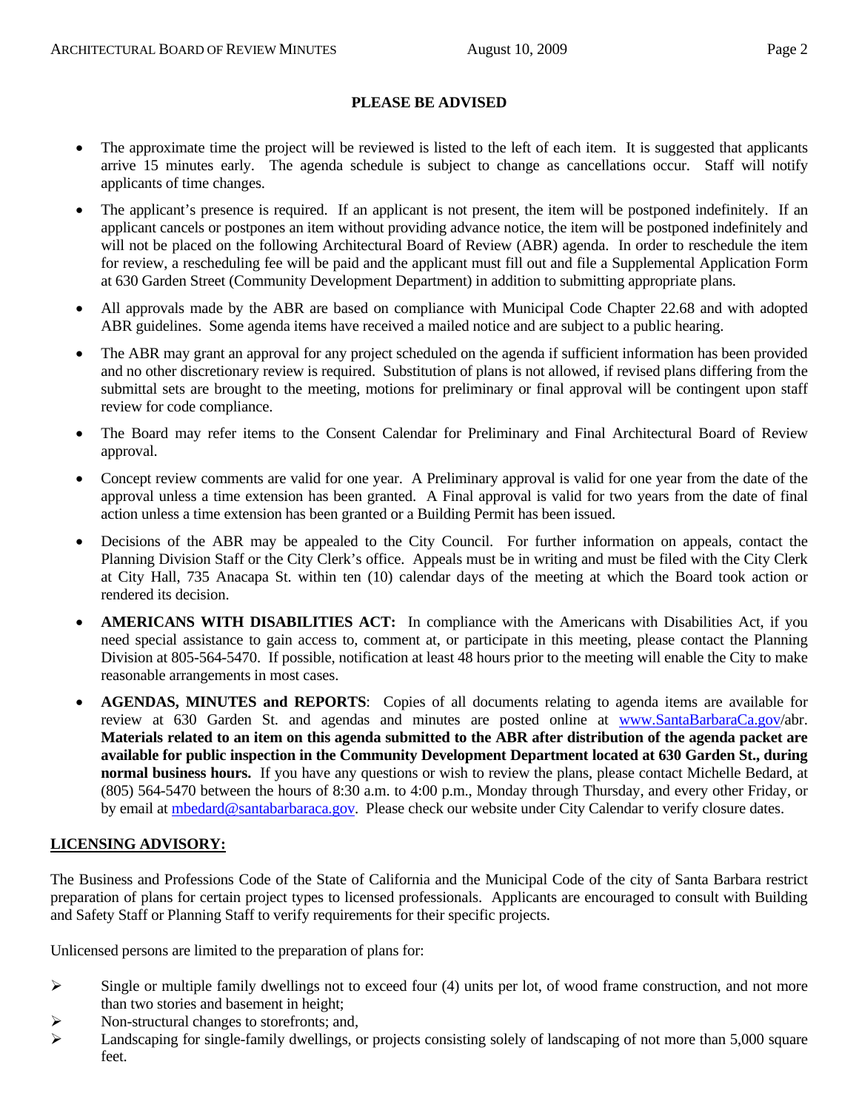#### **PLEASE BE ADVISED**

- The approximate time the project will be reviewed is listed to the left of each item. It is suggested that applicants arrive 15 minutes early. The agenda schedule is subject to change as cancellations occur. Staff will notify applicants of time changes.
- The applicant's presence is required. If an applicant is not present, the item will be postponed indefinitely. If an applicant cancels or postpones an item without providing advance notice, the item will be postponed indefinitely and will not be placed on the following Architectural Board of Review (ABR) agenda. In order to reschedule the item for review, a rescheduling fee will be paid and the applicant must fill out and file a Supplemental Application Form at 630 Garden Street (Community Development Department) in addition to submitting appropriate plans.
- All approvals made by the ABR are based on compliance with Municipal Code Chapter 22.68 and with adopted ABR guidelines. Some agenda items have received a mailed notice and are subject to a public hearing.
- The ABR may grant an approval for any project scheduled on the agenda if sufficient information has been provided and no other discretionary review is required. Substitution of plans is not allowed, if revised plans differing from the submittal sets are brought to the meeting, motions for preliminary or final approval will be contingent upon staff review for code compliance.
- The Board may refer items to the Consent Calendar for Preliminary and Final Architectural Board of Review approval.
- Concept review comments are valid for one year. A Preliminary approval is valid for one year from the date of the approval unless a time extension has been granted. A Final approval is valid for two years from the date of final action unless a time extension has been granted or a Building Permit has been issued.
- Decisions of the ABR may be appealed to the City Council. For further information on appeals, contact the Planning Division Staff or the City Clerk's office. Appeals must be in writing and must be filed with the City Clerk at City Hall, 735 Anacapa St. within ten (10) calendar days of the meeting at which the Board took action or rendered its decision.
- **AMERICANS WITH DISABILITIES ACT:** In compliance with the Americans with Disabilities Act, if you need special assistance to gain access to, comment at, or participate in this meeting, please contact the Planning Division at 805-564-5470. If possible, notification at least 48 hours prior to the meeting will enable the City to make reasonable arrangements in most cases.
- **AGENDAS, MINUTES and REPORTS**: Copies of all documents relating to agenda items are available for review at 630 Garden St. and agendas and minutes are posted online at [www.SantaBarbaraCa.gov/](http://www.santabarbaraca.gov/)abr. **Materials related to an item on this agenda submitted to the ABR after distribution of the agenda packet are available for public inspection in the Community Development Department located at 630 Garden St., during normal business hours.** If you have any questions or wish to review the plans, please contact Michelle Bedard, at (805) 564-5470 between the hours of 8:30 a.m. to 4:00 p.m., Monday through Thursday, and every other Friday, or by email at [mbedard@santabarbaraca.gov](mailto:mbedard@santabarbaraca.gov). Please check our website under City Calendar to verify closure dates.

## **LICENSING ADVISORY:**

The Business and Professions Code of the State of California and the Municipal Code of the city of Santa Barbara restrict preparation of plans for certain project types to licensed professionals. Applicants are encouraged to consult with Building and Safety Staff or Planning Staff to verify requirements for their specific projects.

Unlicensed persons are limited to the preparation of plans for:

- $\triangleright$  Single or multiple family dwellings not to exceed four (4) units per lot, of wood frame construction, and not more than two stories and basement in height;
- $\triangleright$  Non-structural changes to storefronts; and,
- ¾ Landscaping for single-family dwellings, or projects consisting solely of landscaping of not more than 5,000 square feet.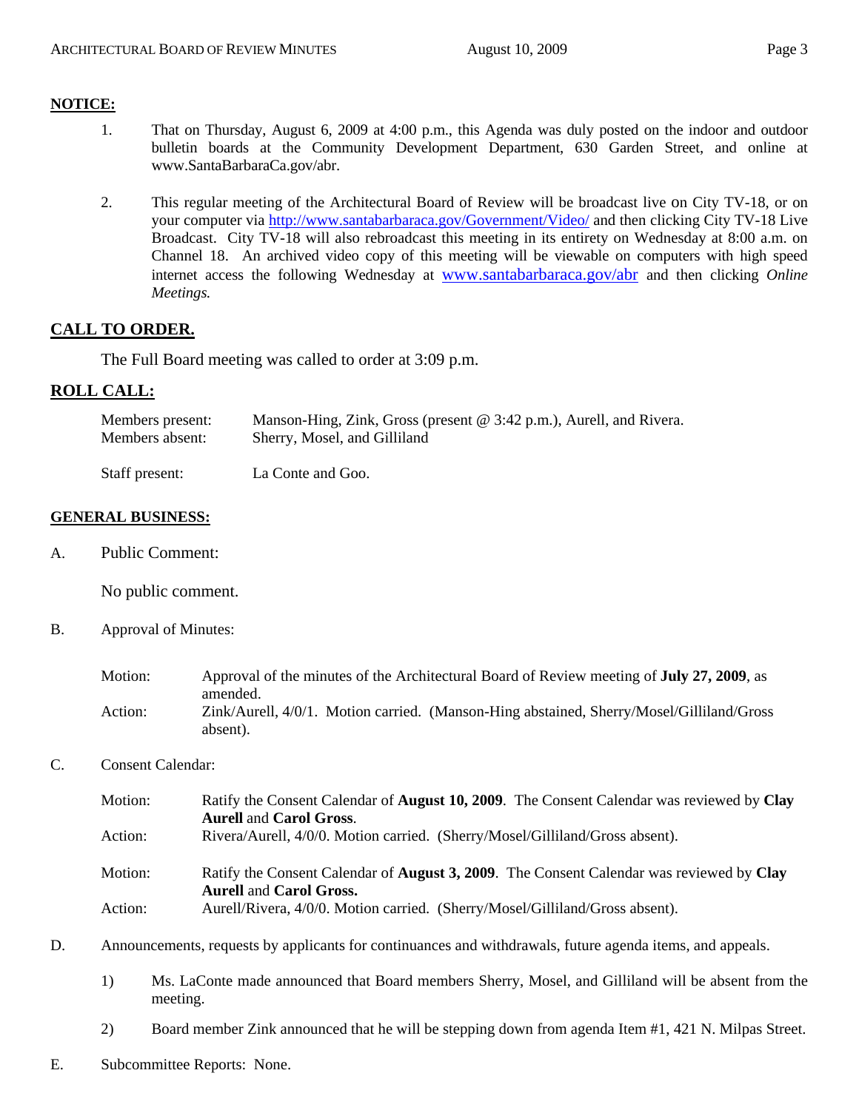## **NOTICE:**

- 1. That on Thursday, August 6, 2009 at 4:00 p.m., this Agenda was duly posted on the indoor and outdoor bulletin boards at the Community Development Department, 630 Garden Street, and online at [www.SantaBarbaraCa.gov/abr.](http://www.santabarbaraca.gov/abr)
- 2. This regular meeting of the Architectural Board of Review will be broadcast live on City TV-18, or on your computer via <http://www.santabarbaraca.gov/Government/Video/> and then clicking City TV-18 Live Broadcast. City TV-18 will also rebroadcast this meeting in its entirety on Wednesday at 8:00 a.m. on Channel 18. An archived video copy of this meeting will be viewable on computers with high speed internet access the following Wednesday at [www.santabarbaraca.gov/abr](http://www.santabarbaraca.gov/abr) and then clicking *Online Meetings.*

## **CALL TO ORDER.**

The Full Board meeting was called to order at 3:09 p.m.

## **ROLL CALL:**

| Members present: | Manson-Hing, Zink, Gross (present $@$ 3:42 p.m.), Aurell, and Rivera. |
|------------------|-----------------------------------------------------------------------|
| Members absent:  | Sherry, Mosel, and Gilliland                                          |

Staff present: La Conte and Goo.

#### **GENERAL BUSINESS:**

A. Public Comment:

No public comment.

B. Approval of Minutes:

| Motion: | Approval of the minutes of the Architectural Board of Review meeting of <b>July 27, 2009</b> , as<br>amended. |
|---------|---------------------------------------------------------------------------------------------------------------|
| Action: | Zink/Aurell, 4/0/1. Motion carried. (Manson-Hing abstained, Sherry/Mosel/Gilliland/Gross<br>absent).          |

### C. Consent Calendar:

| Motion: | Ratify the Consent Calendar of <b>August 10, 2009</b> . The Consent Calendar was reviewed by <b>Clay</b>                           |
|---------|------------------------------------------------------------------------------------------------------------------------------------|
|         | <b>Aurell and Carol Gross.</b>                                                                                                     |
| Action: | Rivera/Aurell, 4/0/0. Motion carried. (Sherry/Mosel/Gilliland/Gross absent).                                                       |
| Motion: | Ratify the Consent Calendar of <b>August 3, 2009</b> . The Consent Calendar was reviewed by Clay<br><b>Aurell and Carol Gross.</b> |
| Action: | Aurell/Rivera, 4/0/0. Motion carried. (Sherry/Mosel/Gilliland/Gross absent).                                                       |

- D. Announcements, requests by applicants for continuances and withdrawals, future agenda items, and appeals.
	- 1) Ms. LaConte made announced that Board members Sherry, Mosel, and Gilliland will be absent from the meeting.
	- 2) Board member Zink announced that he will be stepping down from agenda Item #1, 421 N. Milpas Street.
- E. Subcommittee Reports: None.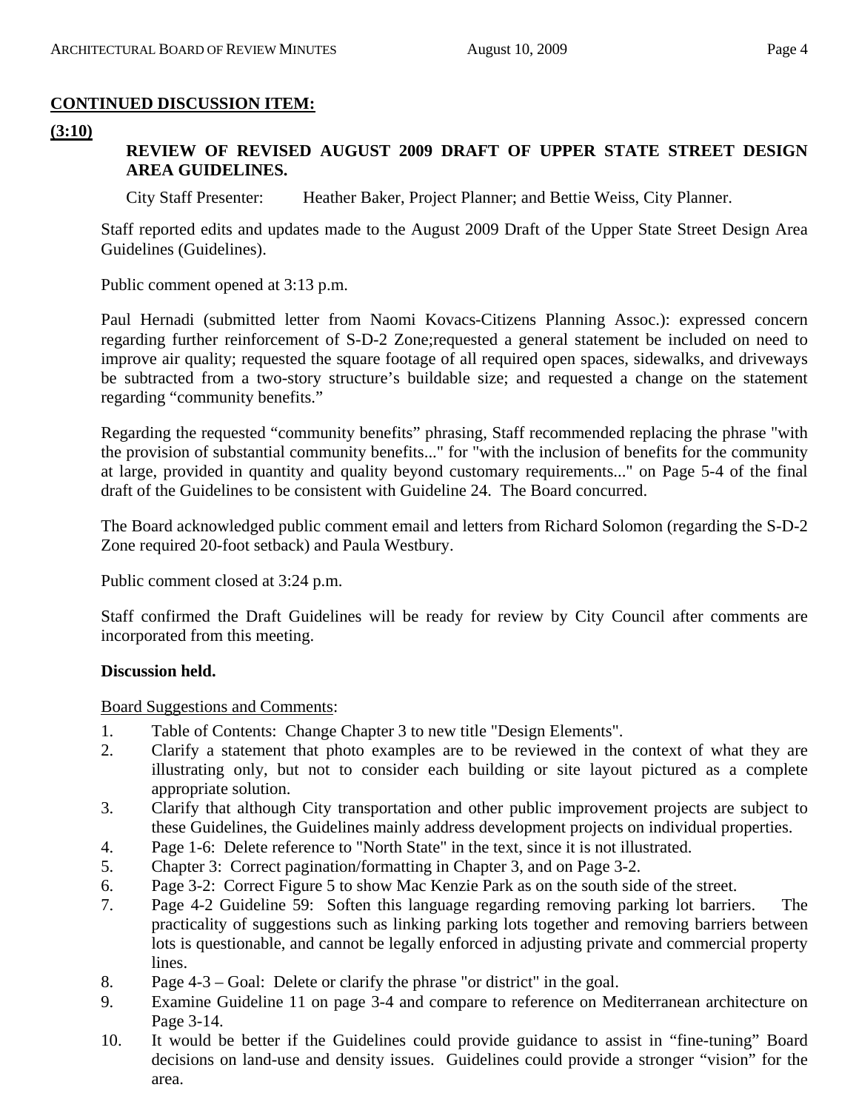# **CONTINUED DISCUSSION ITEM:**

## **(3:10)**

## **REVIEW OF REVISED AUGUST 2009 DRAFT OF UPPER STATE STREET DESIGN AREA GUIDELINES.**

City Staff Presenter: Heather Baker, Project Planner; and Bettie Weiss, City Planner.

Staff reported edits and updates made to the August 2009 Draft of the Upper State Street Design Area Guidelines (Guidelines).

Public comment opened at 3:13 p.m.

Paul Hernadi (submitted letter from Naomi Kovacs-Citizens Planning Assoc.): expressed concern regarding further reinforcement of S-D-2 Zone;requested a general statement be included on need to improve air quality; requested the square footage of all required open spaces, sidewalks, and driveways be subtracted from a two-story structure's buildable size; and requested a change on the statement regarding "community benefits."

Regarding the requested "community benefits" phrasing, Staff recommended replacing the phrase "with the provision of substantial community benefits..." for "with the inclusion of benefits for the community at large, provided in quantity and quality beyond customary requirements..." on Page 5-4 of the final draft of the Guidelines to be consistent with Guideline 24. The Board concurred.

The Board acknowledged public comment email and letters from Richard Solomon (regarding the S-D-2 Zone required 20-foot setback) and Paula Westbury.

Public comment closed at 3:24 p.m.

Staff confirmed the Draft Guidelines will be ready for review by City Council after comments are incorporated from this meeting.

## **Discussion held.**

Board Suggestions and Comments:

- 1. Table of Contents: Change Chapter 3 to new title "Design Elements".
- 2. Clarify a statement that photo examples are to be reviewed in the context of what they are illustrating only, but not to consider each building or site layout pictured as a complete appropriate solution.
- 3. Clarify that although City transportation and other public improvement projects are subject to these Guidelines, the Guidelines mainly address development projects on individual properties.
- 4. Page 1-6: Delete reference to "North State" in the text, since it is not illustrated.
- 5. Chapter 3: Correct pagination/formatting in Chapter 3, and on Page 3-2.
- 6. Page 3-2: Correct Figure 5 to show Mac Kenzie Park as on the south side of the street.
- 7. Page 4-2 Guideline 59: Soften this language regarding removing parking lot barriers. The practicality of suggestions such as linking parking lots together and removing barriers between lots is questionable, and cannot be legally enforced in adjusting private and commercial property lines.
- 8. Page 4-3 Goal: Delete or clarify the phrase "or district" in the goal.
- 9. Examine Guideline 11 on page 3-4 and compare to reference on Mediterranean architecture on Page 3-14.
- 10. It would be better if the Guidelines could provide guidance to assist in "fine-tuning" Board decisions on land-use and density issues. Guidelines could provide a stronger "vision" for the area.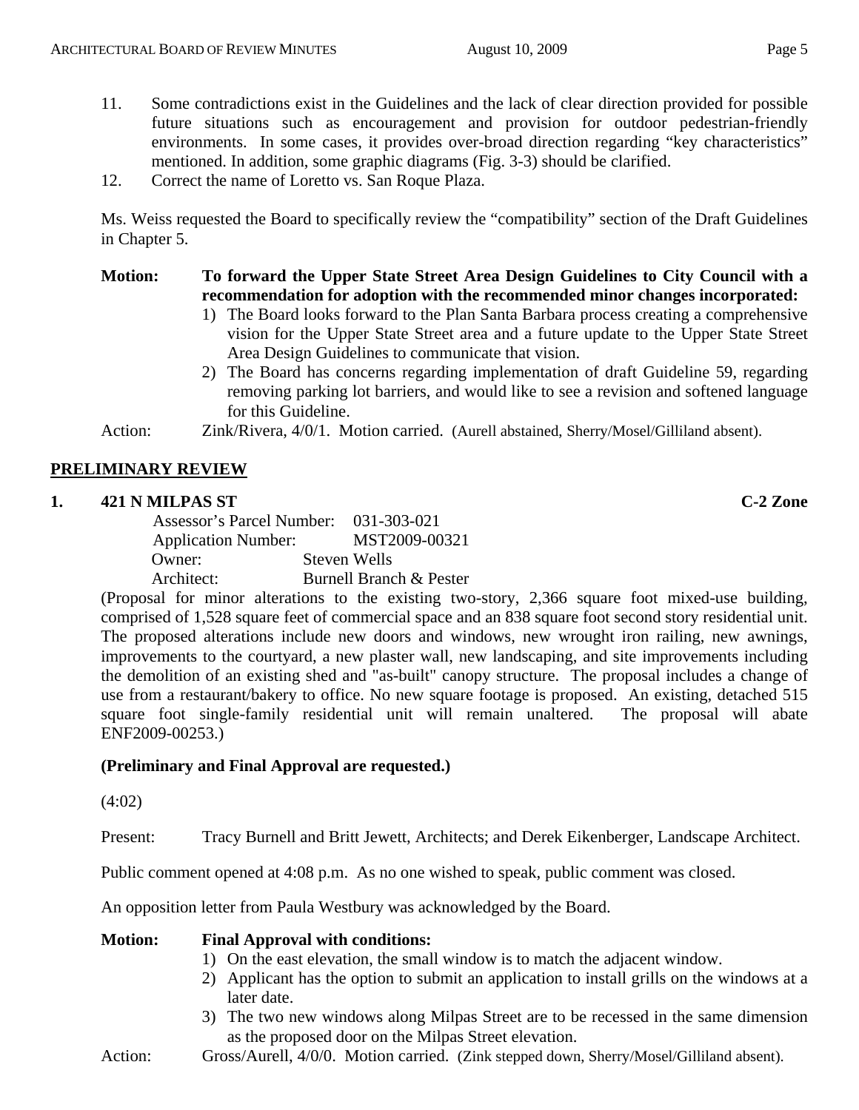- 11. Some contradictions exist in the Guidelines and the lack of clear direction provided for possible future situations such as encouragement and provision for outdoor pedestrian-friendly environments. In some cases, it provides over-broad direction regarding "key characteristics" mentioned. In addition, some graphic diagrams (Fig. 3-3) should be clarified.
- 12. Correct the name of Loretto vs. San Roque Plaza.

Ms. Weiss requested the Board to specifically review the "compatibility" section of the Draft Guidelines in Chapter 5.

### **Motion: To forward the Upper State Street Area Design Guidelines to City Council with a recommendation for adoption with the recommended minor changes incorporated:**

- 1) The Board looks forward to the Plan Santa Barbara process creating a comprehensive vision for the Upper State Street area and a future update to the Upper State Street Area Design Guidelines to communicate that vision.
- 2) The Board has concerns regarding implementation of draft Guideline 59, regarding removing parking lot barriers, and would like to see a revision and softened language for this Guideline.

Action: Zink/Rivera, 4/0/1. Motion carried. (Aurell abstained, Sherry/Mosel/Gilliland absent).

# **PRELIMINARY REVIEW**

## **1. 421 N MILPAS ST C-2 Zone**

| Assessor's Parcel Number: 031-303-021 |                         |
|---------------------------------------|-------------------------|
| <b>Application Number:</b>            | MST2009-00321           |
| Owner:                                | Steven Wells            |
| Architect:                            | Burnell Branch & Pester |

(Proposal for minor alterations to the existing two-story, 2,366 square foot mixed-use building, comprised of 1,528 square feet of commercial space and an 838 square foot second story residential unit. The proposed alterations include new doors and windows, new wrought iron railing, new awnings, improvements to the courtyard, a new plaster wall, new landscaping, and site improvements including the demolition of an existing shed and "as-built" canopy structure. The proposal includes a change of use from a restaurant/bakery to office. No new square footage is proposed. An existing, detached 515 square foot single-family residential unit will remain unaltered. The proposal will abate ENF2009-00253.)

## **(Preliminary and Final Approval are requested.)**

(4:02)

Present: Tracy Burnell and Britt Jewett, Architects; and Derek Eikenberger, Landscape Architect.

Public comment opened at 4:08 p.m. As no one wished to speak, public comment was closed.

An opposition letter from Paula Westbury was acknowledged by the Board.

### **Motion: Final Approval with conditions:**

- 1) On the east elevation, the small window is to match the adjacent window.
- 2) Applicant has the option to submit an application to install grills on the windows at a later date.
- 3) The two new windows along Milpas Street are to be recessed in the same dimension as the proposed door on the Milpas Street elevation.
- Action: Gross/Aurell, 4/0/0. Motion carried. (Zink stepped down, Sherry/Mosel/Gilliland absent).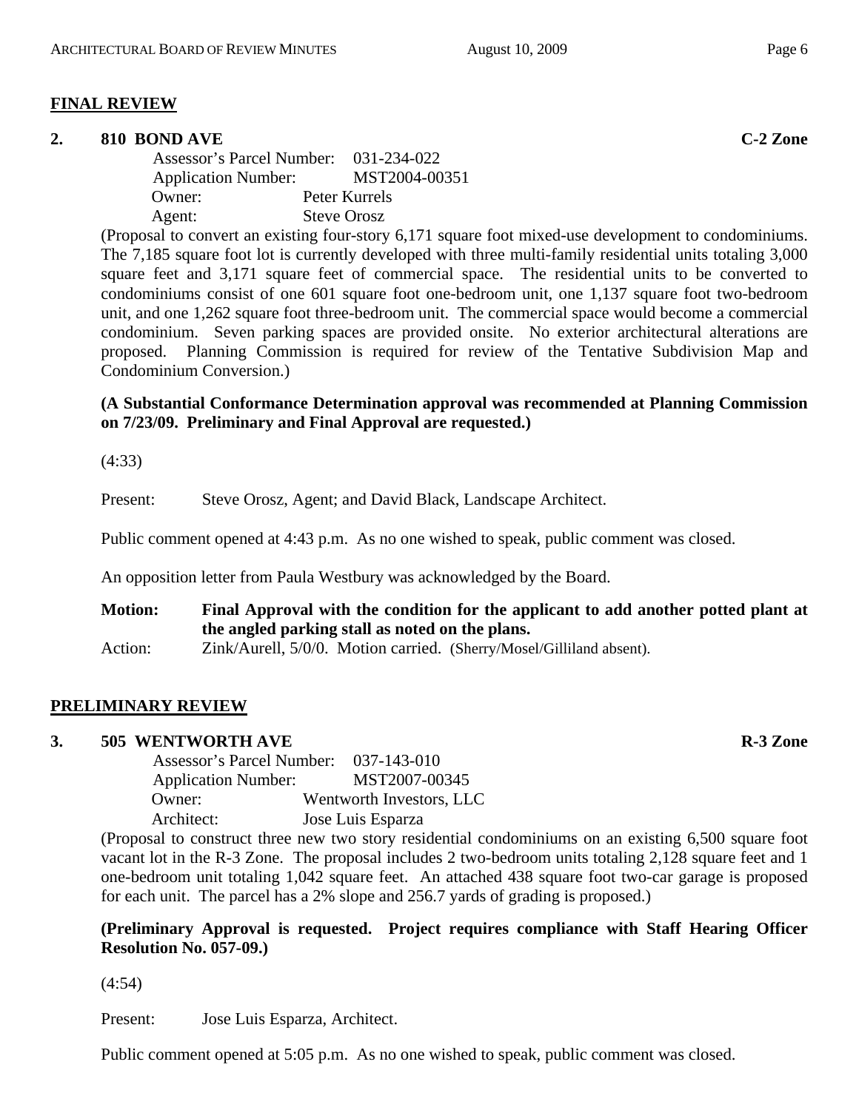## **FINAL REVIEW**

## **2. 810 BOND AVE C-2 Zone**

 Assessor's Parcel Number: 031-234-022 Application Number: MST2004-00351<br>Owner: Peter Kurrels Peter Kurrels Agent: Steve Orosz

(Proposal to convert an existing four-story 6,171 square foot mixed-use development to condominiums. The 7,185 square foot lot is currently developed with three multi-family residential units totaling 3,000 square feet and 3,171 square feet of commercial space. The residential units to be converted to condominiums consist of one 601 square foot one-bedroom unit, one 1,137 square foot two-bedroom unit, and one 1,262 square foot three-bedroom unit. The commercial space would become a commercial condominium. Seven parking spaces are provided onsite. No exterior architectural alterations are proposed. Planning Commission is required for review of the Tentative Subdivision Map and Condominium Conversion.)

## **(A Substantial Conformance Determination approval was recommended at Planning Commission on 7/23/09. Preliminary and Final Approval are requested.)**

(4:33)

Present: Steve Orosz, Agent; and David Black, Landscape Architect.

Public comment opened at 4:43 p.m. As no one wished to speak, public comment was closed.

An opposition letter from Paula Westbury was acknowledged by the Board.

| <b>Motion:</b> | Final Approval with the condition for the applicant to add another potted plant at |  |  |
|----------------|------------------------------------------------------------------------------------|--|--|
|                | the angled parking stall as noted on the plans.                                    |  |  |
| Action:        | Zink/Aurell, 5/0/0. Motion carried. (Sherry/Mosel/Gilliland absent).               |  |  |

## **PRELIMINARY REVIEW**

### **3.** 505 WENTWORTH AVE **R-3** Zone

| <b>Assessor's Parcel Number:</b> | 037-143-010              |
|----------------------------------|--------------------------|
| <b>Application Number:</b>       | MST2007-00345            |
| Owner:                           | Wentworth Investors, LLC |
| Architect:                       | Jose Luis Esparza        |

(Proposal to construct three new two story residential condominiums on an existing 6,500 square foot vacant lot in the R-3 Zone. The proposal includes 2 two-bedroom units totaling 2,128 square feet and 1 one-bedroom unit totaling 1,042 square feet. An attached 438 square foot two-car garage is proposed for each unit. The parcel has a 2% slope and 256.7 yards of grading is proposed.)

### **(Preliminary Approval is requested. Project requires compliance with Staff Hearing Officer Resolution No. 057-09.)**

(4:54)

Present: Jose Luis Esparza, Architect.

Public comment opened at 5:05 p.m. As no one wished to speak, public comment was closed.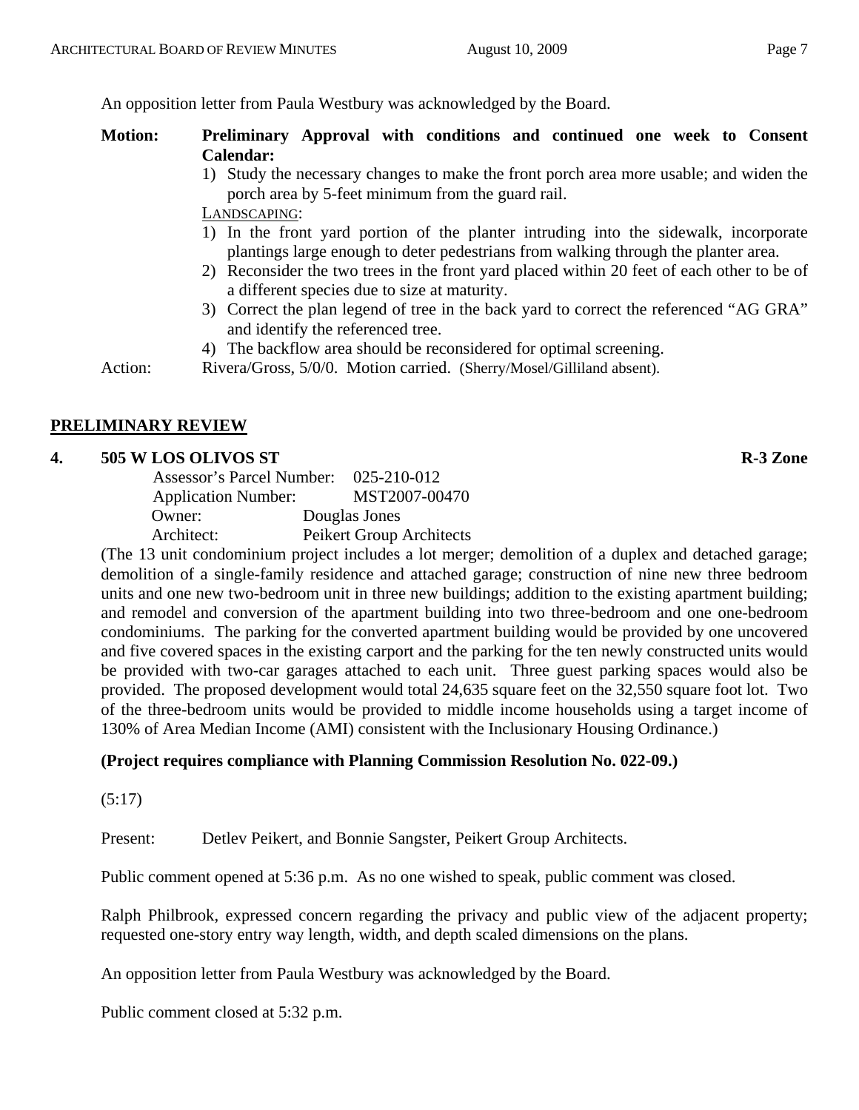An opposition letter from Paula Westbury was acknowledged by the Board.

## **Motion: Preliminary Approval with conditions and continued one week to Consent Calendar:**

- 1) Study the necessary changes to make the front porch area more usable; and widen the porch area by 5-feet minimum from the guard rail.
- LANDSCAPING:
- 1) In the front yard portion of the planter intruding into the sidewalk, incorporate plantings large enough to deter pedestrians from walking through the planter area.
- 2) Reconsider the two trees in the front yard placed within 20 feet of each other to be of a different species due to size at maturity.
- 3) Correct the plan legend of tree in the back yard to correct the referenced "AG GRA" and identify the referenced tree.
- 4) The backflow area should be reconsidered for optimal screening.

Action: Rivera/Gross, 5/0/0. Motion carried. (Sherry/Mosel/Gilliland absent).

## **PRELIMINARY REVIEW**

### **4. 505 W LOS OLIVOS ST R-3 Zone**

| <b>Assessor's Parcel Number:</b> | $025 - 210 - 012$        |
|----------------------------------|--------------------------|
| <b>Application Number:</b>       | MST2007-00470            |
| Owner:                           | Douglas Jones            |
| Architect:                       | Peikert Group Architects |

(The 13 unit condominium project includes a lot merger; demolition of a duplex and detached garage; demolition of a single-family residence and attached garage; construction of nine new three bedroom units and one new two-bedroom unit in three new buildings; addition to the existing apartment building; and remodel and conversion of the apartment building into two three-bedroom and one one-bedroom condominiums. The parking for the converted apartment building would be provided by one uncovered and five covered spaces in the existing carport and the parking for the ten newly constructed units would be provided with two-car garages attached to each unit. Three guest parking spaces would also be provided. The proposed development would total 24,635 square feet on the 32,550 square foot lot. Two of the three-bedroom units would be provided to middle income households using a target income of 130% of Area Median Income (AMI) consistent with the Inclusionary Housing Ordinance.)

## **(Project requires compliance with Planning Commission Resolution No. 022-09.)**

(5:17)

Present: Detlev Peikert, and Bonnie Sangster, Peikert Group Architects.

Public comment opened at 5:36 p.m. As no one wished to speak, public comment was closed.

Ralph Philbrook, expressed concern regarding the privacy and public view of the adjacent property; requested one-story entry way length, width, and depth scaled dimensions on the plans.

An opposition letter from Paula Westbury was acknowledged by the Board.

Public comment closed at 5:32 p.m.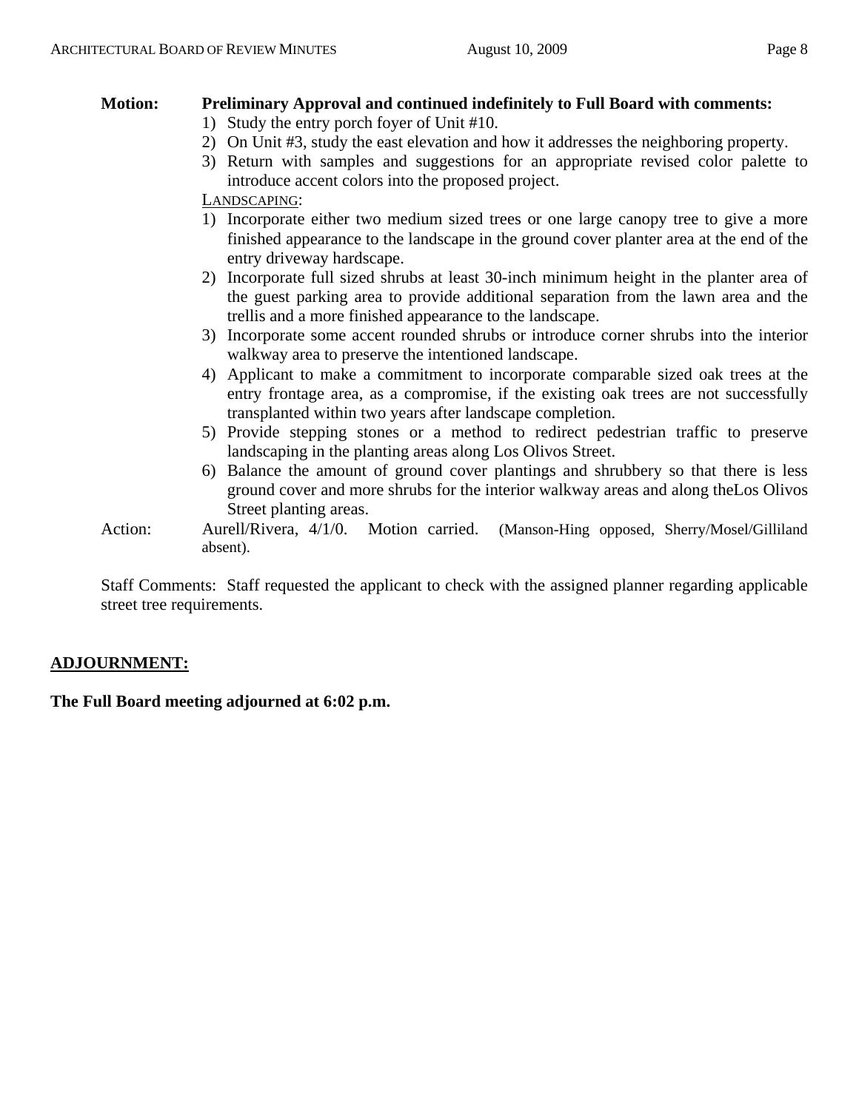## **Motion: Preliminary Approval and continued indefinitely to Full Board with comments:**

- 1) Study the entry porch foyer of Unit #10.
- 2) On Unit #3, study the east elevation and how it addresses the neighboring property.
- 3) Return with samples and suggestions for an appropriate revised color palette to introduce accent colors into the proposed project.

LANDSCAPING:

- 1) Incorporate either two medium sized trees or one large canopy tree to give a more finished appearance to the landscape in the ground cover planter area at the end of the entry driveway hardscape.
- 2) Incorporate full sized shrubs at least 30-inch minimum height in the planter area of the guest parking area to provide additional separation from the lawn area and the trellis and a more finished appearance to the landscape.
- 3) Incorporate some accent rounded shrubs or introduce corner shrubs into the interior walkway area to preserve the intentioned landscape.
- 4) Applicant to make a commitment to incorporate comparable sized oak trees at the entry frontage area, as a compromise, if the existing oak trees are not successfully transplanted within two years after landscape completion.
- 5) Provide stepping stones or a method to redirect pedestrian traffic to preserve landscaping in the planting areas along Los Olivos Street.
- 6) Balance the amount of ground cover plantings and shrubbery so that there is less ground cover and more shrubs for the interior walkway areas and along theLos Olivos Street planting areas.
- Action: Aurell/Rivera, 4/1/0. Motion carried. (Manson-Hing opposed, Sherry/Mosel/Gilliland absent).

Staff Comments: Staff requested the applicant to check with the assigned planner regarding applicable street tree requirements.

# **ADJOURNMENT:**

**The Full Board meeting adjourned at 6:02 p.m.**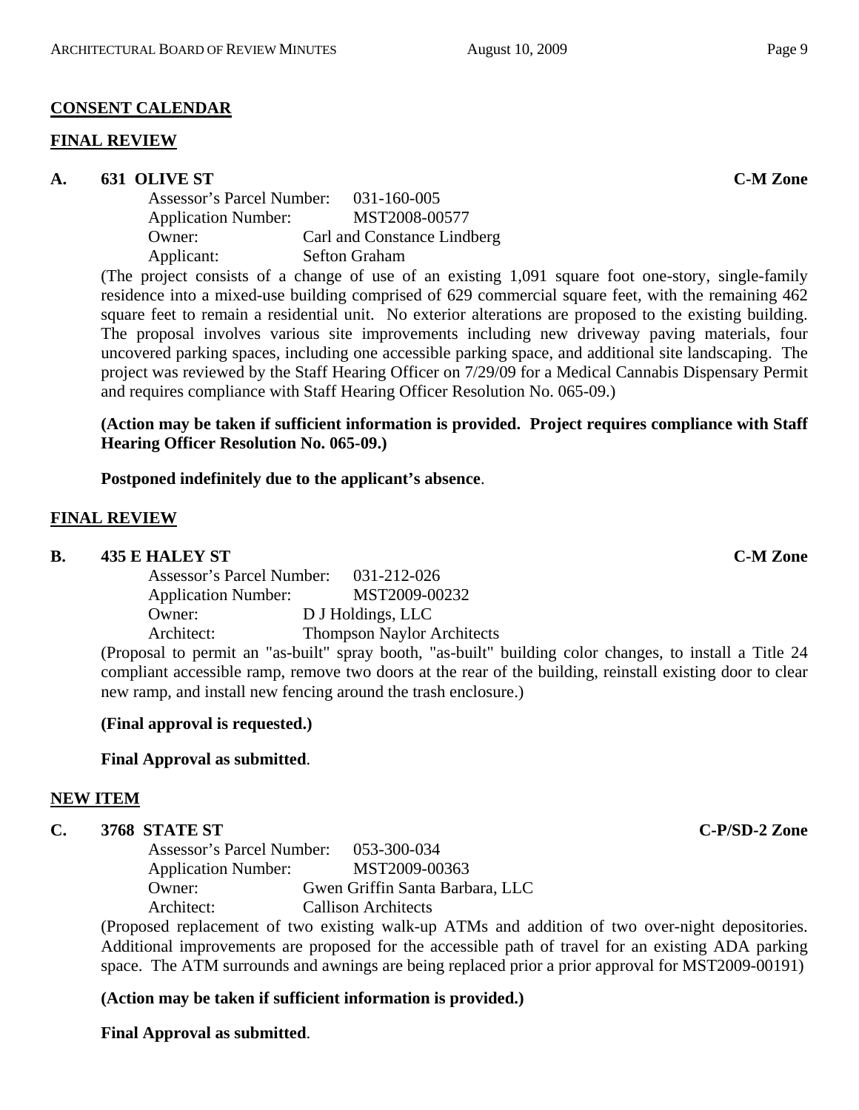### **CONSENT CALENDAR**

#### **FINAL REVIEW**

#### **A. 631 OLIVE ST C-M Zone**

| <b>Assessor's Parcel Number:</b> | 031-160-005                 |
|----------------------------------|-----------------------------|
| <b>Application Number:</b>       | MST2008-00577               |
| Owner:                           | Carl and Constance Lindberg |
| Applicant:                       | <b>Sefton Graham</b>        |

(The project consists of a change of use of an existing 1,091 square foot one-story, single-family residence into a mixed-use building comprised of 629 commercial square feet, with the remaining 462 square feet to remain a residential unit. No exterior alterations are proposed to the existing building. The proposal involves various site improvements including new driveway paving materials, four uncovered parking spaces, including one accessible parking space, and additional site landscaping. The project was reviewed by the Staff Hearing Officer on 7/29/09 for a Medical Cannabis Dispensary Permit and requires compliance with Staff Hearing Officer Resolution No. 065-09.)

**(Action may be taken if sufficient information is provided. Project requires compliance with Staff Hearing Officer Resolution No. 065-09.)** 

**Postponed indefinitely due to the applicant's absence**.

#### **FINAL REVIEW**

#### **B.** 435 E HALEY ST **C-M Zone**

| Assessor's Parcel Number:  | 031-212-026                                                                                                                                                                               |
|----------------------------|-------------------------------------------------------------------------------------------------------------------------------------------------------------------------------------------|
| <b>Application Number:</b> | MST2009-00232                                                                                                                                                                             |
| Owner:                     | D J Holdings, LLC                                                                                                                                                                         |
| Architect:                 | <b>Thompson Naylor Architects</b>                                                                                                                                                         |
|                            | $(D_{\text{max}} \cup \{1, 1, \ldots, 1, 1, \ldots, 1\})$ and $(D_{\text{max}} \cup D_{\text{max}})$ are $D_{\text{max}} \cup D_{\text{max}}$ . Then $D_{\text{max}} \cup D_{\text{max}}$ |

(Proposal to permit an "as-built" spray booth, "as-built" building color changes, to install a Title 24 compliant accessible ramp, remove two doors at the rear of the building, reinstall existing door to clear new ramp, and install new fencing around the trash enclosure.)

#### **(Final approval is requested.)**

### **Final Approval as submitted**.

#### **NEW ITEM**

### **C. 3768 STATE ST C-P/SD-2 Zone**

Assessor's Parcel Number: 053-300-034 Application Number: MST2009-00363 Owner: Gwen Griffin Santa Barbara, LLC Architect: Callison Architects

(Proposed replacement of two existing walk-up ATMs and addition of two over-night depositories. Additional improvements are proposed for the accessible path of travel for an existing ADA parking space. The ATM surrounds and awnings are being replaced prior a prior approval for MST2009-00191)

### **(Action may be taken if sufficient information is provided.)**

**Final Approval as submitted**.